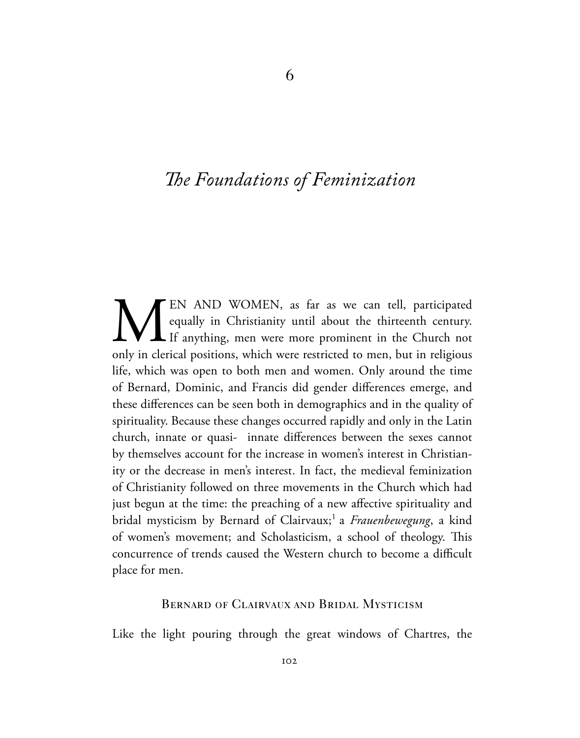# *The Foundations of Feminization*

EN AND WOMEN, as far as we can tell, participated equally in Christianity until about the thirteenth century. If anything, men were more prominent in the Church not only in clerical positions, which were restricted to men, but in religious life, which was open to both men and women. Only around the time of Bernard, Dominic, and Francis did gender differences emerge, and these differences can be seen both in demographics and in the quality of spirituality. Because these changes occurred rapidly and only in the Latin church, innate or quasi- innate differences between the sexes cannot by themselves account for the increase in women's interest in Christianity or the decrease in men's interest. In fact, the medieval feminization of Christianity followed on three movements in the Church which had just begun at the time: the preaching of a new affective spirituality and bridal mysticism by Bernard of Clairvaux;<sup>1</sup> a *Frauenbewegung*, a kind of women's movement; and Scholasticism, a school of theology. This concurrence of trends caused the Western church to become a difficult place for men.  $\sum_{\text{only in clear}}$ 

### Bernard of Clairvaux and Bridal Mysticism

Like the light pouring through the great windows of Chartres, the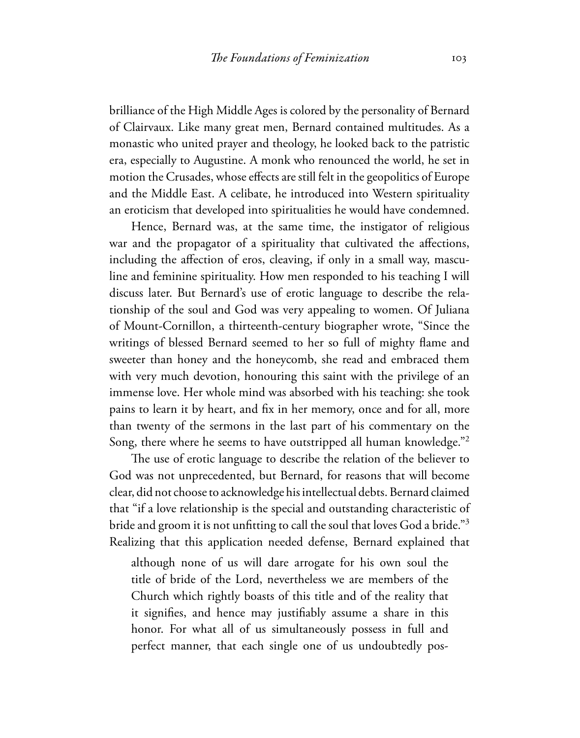brilliance of the High Middle Ages is colored by the personality of Bernard of Clairvaux. Like many great men, Bernard contained multitudes. As a monastic who united prayer and theology, he looked back to the patristic era, especially to Augustine. A monk who renounced the world, he set in motion the Crusades, whose effects are still felt in the geopolitics of Europe and the Middle East. A celibate, he introduced into Western spirituality an eroticism that developed into spiritualities he would have condemned.

Hence, Bernard was, at the same time, the instigator of religious war and the propagator of a spirituality that cultivated the affections, including the affection of eros, cleaving, if only in a small way, masculine and feminine spirituality. How men responded to his teaching I will discuss later. But Bernard's use of erotic language to describe the relationship of the soul and God was very appealing to women. Of Juliana of Mount-Cornillon, a thirteenth-century biographer wrote, "Since the writings of blessed Bernard seemed to her so full of mighty flame and sweeter than honey and the honeycomb, she read and embraced them with very much devotion, honouring this saint with the privilege of an immense love. Her whole mind was absorbed with his teaching: she took pains to learn it by heart, and fix in her memory, once and for all, more than twenty of the sermons in the last part of his commentary on the Song, there where he seems to have outstripped all human knowledge."<sup>2</sup>

The use of erotic language to describe the relation of the believer to God was not unprecedented, but Bernard, for reasons that will become clear, did not choose to acknowledge his intellectual debts. Bernard claimed that "if a love relationship is the special and outstanding characteristic of bride and groom it is not unfitting to call the soul that loves God a bride."<sup>3</sup> Realizing that this application needed defense, Bernard explained that

 although none of us will dare arrogate for his own soul the title of bride of the Lord, nevertheless we are members of the Church which rightly boasts of this title and of the reality that it signifies, and hence may justifiably assume a share in this honor. For what all of us simultaneously possess in full and perfect manner, that each single one of us undoubtedly pos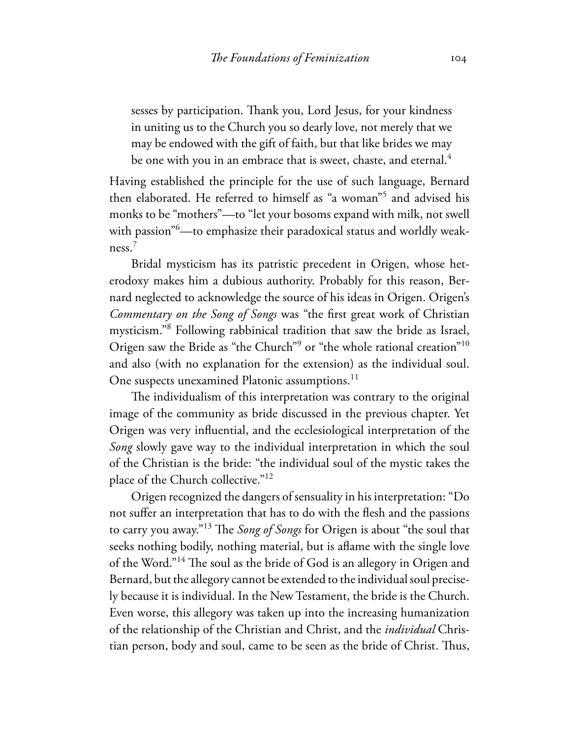sesses by participation. Thank you, Lord Jesus, for your kindness in uniting us to the Church you so dearly love, not merely that we may be endowed with the gift of faith, but that like brides we may be one with you in an embrace that is sweet, chaste, and eternal.<sup>4</sup>

Having established the principle for the use of such language, Bernard then elaborated. He referred to himself as "a woman"<sup>5</sup> and advised his monks to be "mothers"—to "let your bosoms expand with milk, not swell with passion"<sup>6</sup> —to emphasize their paradoxical status and worldly weakness.<sup>7</sup>

Bridal mysticism has its patristic precedent in Origen, whose heterodoxy makes him a dubious authority. Probably for this reason, Bernard neglected to acknowledge the source of his ideas in Origen. Origen's *Commentary on the Song of Songs* was "the first great work of Christian mysticism."<sup>8</sup> Following rabbinical tradition that saw the bride as Israel, Origen saw the Bride as "the Church"<sup>9</sup> or "the whole rational creation"<sup>10</sup> and also (with no explanation for the extension) as the individual soul. One suspects unexamined Platonic assumptions.<sup>11</sup>

The individualism of this interpretation was contrary to the original image of the community as bride discussed in the previous chapter. Yet Origen was very influential, and the ecclesiological interpretation of the *Song* slowly gave way to the individual interpretation in which the soul of the Christian is the bride: "the individual soul of the mystic takes the place of the Church collective."<sup>12</sup>

Origen recognized the dangers of sensuality in his interpretation: "Do not suffer an interpretation that has to do with the flesh and the passions to carry you away."13 The *Song of Songs* for Origen is about "the soul that seeks nothing bodily, nothing material, but is aflame with the single love of the Word."14 The soul as the bride of God is an allegory in Origen and Bernard, but the allegory cannot be extended to the individual soul precisely because it is individual. In the New Testament, the bride is the Church. Even worse, this allegory was taken up into the increasing humanization of the relationship of the Christian and Christ, and the *individual* Christian person, body and soul, came to be seen as the bride of Christ. Thus,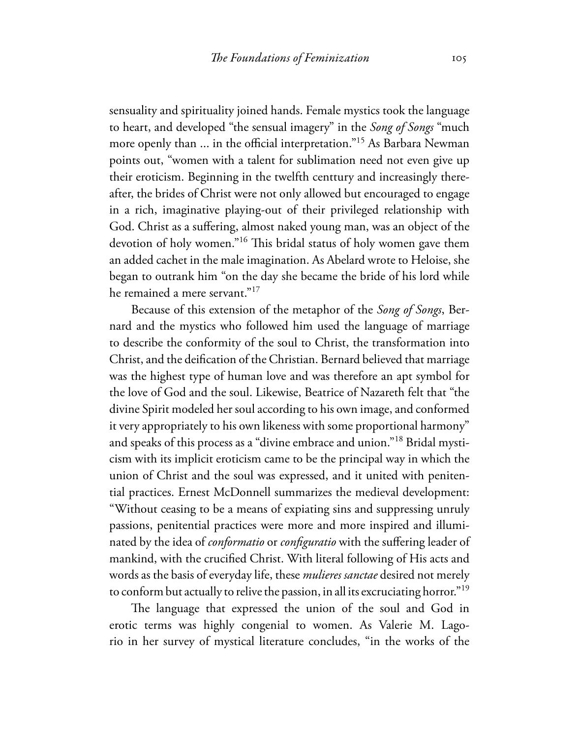sensuality and spirituality joined hands. Female mystics took the language to heart, and developed "the sensual imagery" in the *Song of Songs* "much more openly than ... in the official interpretation."15 As Barbara Newman points out, "women with a talent for sublimation need not even give up their eroticism. Beginning in the twelfth centtury and increasingly thereafter, the brides of Christ were not only allowed but encouraged to engage in a rich, imaginative playing-out of their privileged relationship with God. Christ as a suffering, almost naked young man, was an object of the devotion of holy women."16 This bridal status of holy women gave them an added cachet in the male imagination. As Abelard wrote to Heloise, she began to outrank him "on the day she became the bride of his lord while he remained a mere servant."<sup>17</sup>

Because of this extension of the metaphor of the *Song of Songs*, Bernard and the mystics who followed him used the language of marriage to describe the conformity of the soul to Christ, the transformation into Christ, and the deification of the Christian. Bernard believed that marriage was the highest type of human love and was therefore an apt symbol for the love of God and the soul. Likewise, Beatrice of Nazareth felt that "the divine Spirit modeled her soul according to his own image, and conformed it very appropriately to his own likeness with some proportional harmony" and speaks of this process as a "divine embrace and union."18 Bridal mysticism with its implicit eroticism came to be the principal way in which the union of Christ and the soul was expressed, and it united with penitential practices. Ernest McDonnell summarizes the medieval development: "Without ceasing to be a means of expiating sins and suppressing unruly passions, penitential practices were more and more inspired and illuminated by the idea of *conformatio* or *configuratio* with the suffering leader of mankind, with the crucified Christ. With literal following of His acts and words as the basis of everyday life, these *mulieres sanctae* desired not merely to conform but actually to relive the passion, in all its excruciating horror."<sup>19</sup>

The language that expressed the union of the soul and God in erotic terms was highly congenial to women. As Valerie M. Lagorio in her survey of mystical literature concludes, "in the works of the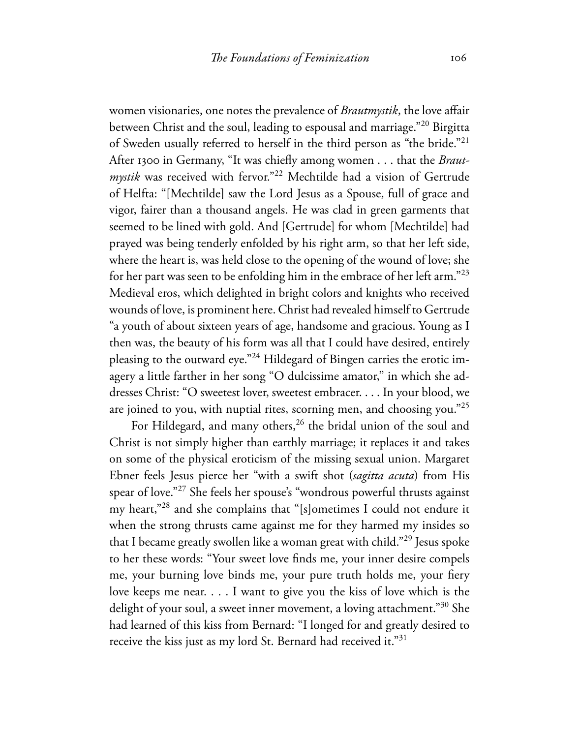women visionaries, one notes the prevalence of *Brautmystik*, the love affair between Christ and the soul, leading to espousal and marriage."<sup>20</sup> Birgitta of Sweden usually referred to herself in the third person as "the bride."<sup>21</sup> After 300 in Germany, "It was chiefly among women . . . that the *Brautmystik* was received with fervor."22 Mechtilde had a vision of Gertrude of Helfta: "[Mechtilde] saw the Lord Jesus as a Spouse, full of grace and vigor, fairer than a thousand angels. He was clad in green garments that seemed to be lined with gold. And [Gertrude] for whom [Mechtilde] had prayed was being tenderly enfolded by his right arm, so that her left side, where the heart is, was held close to the opening of the wound of love; she for her part was seen to be enfolding him in the embrace of her left arm."<sup>23</sup> Medieval eros, which delighted in bright colors and knights who received wounds of love, is prominent here. Christ had revealed himself to Gertrude "a youth of about sixteen years of age, handsome and gracious. Young as I then was, the beauty of his form was all that I could have desired, entirely pleasing to the outward eye."24 Hildegard of Bingen carries the erotic imagery a little farther in her song "O dulcissime amator," in which she addresses Christ: "O sweetest lover, sweetest embracer. . . . In your blood, we are joined to you, with nuptial rites, scorning men, and choosing you."25

For Hildegard, and many others,  $26$  the bridal union of the soul and Christ is not simply higher than earthly marriage; it replaces it and takes on some of the physical eroticism of the missing sexual union. Margaret Ebner feels Jesus pierce her "with a swift shot (*sagitta acuta*) from His spear of love."27 She feels her spouse's "wondrous powerful thrusts against my heart,"28 and she complains that "[s]ometimes I could not endure it when the strong thrusts came against me for they harmed my insides so that I became greatly swollen like a woman great with child."29 Jesus spoke to her these words: "Your sweet love finds me, your inner desire compels me, your burning love binds me, your pure truth holds me, your fiery love keeps me near. . . . I want to give you the kiss of love which is the delight of your soul, a sweet inner movement, a loving attachment."<sup>30</sup> She had learned of this kiss from Bernard: "I longed for and greatly desired to receive the kiss just as my lord St. Bernard had received it."31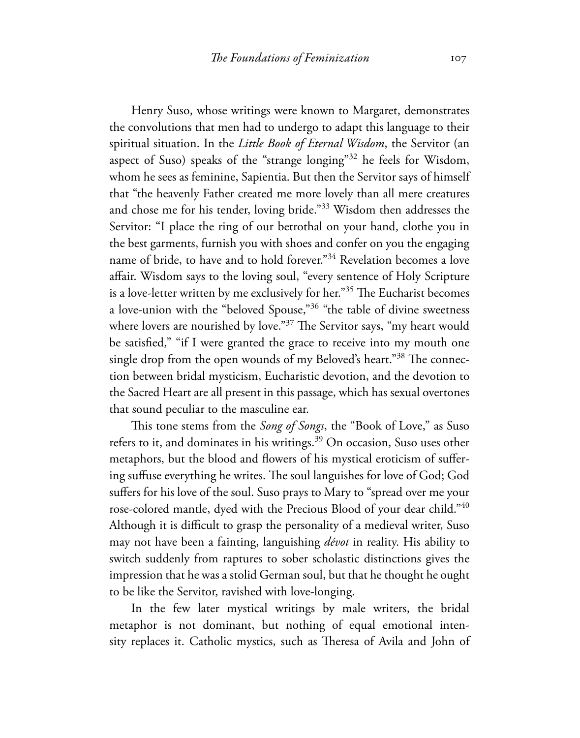Henry Suso, whose writings were known to Margaret, demonstrates the convolutions that men had to undergo to adapt this language to their spiritual situation. In the *Little Book of Eternal Wisdom*, the Servitor (an aspect of Suso) speaks of the "strange longing"32 he feels for Wisdom, whom he sees as feminine, Sapientia. But then the Servitor says of himself that "the heavenly Father created me more lovely than all mere creatures and chose me for his tender, loving bride."33 Wisdom then addresses the Servitor: "I place the ring of our betrothal on your hand, clothe you in the best garments, furnish you with shoes and confer on you the engaging name of bride, to have and to hold forever."34 Revelation becomes a love affair. Wisdom says to the loving soul, "every sentence of Holy Scripture is a love-letter written by me exclusively for her."35 The Eucharist becomes a love-union with the "beloved Spouse,"36 "the table of divine sweetness where lovers are nourished by love."<sup>37</sup> The Servitor says, "my heart would be satisfied," "if I were granted the grace to receive into my mouth one single drop from the open wounds of my Beloved's heart."<sup>38</sup> The connection between bridal mysticism, Eucharistic devotion, and the devotion to the Sacred Heart are all present in this passage, which has sexual overtones that sound peculiar to the masculine ear.

This tone stems from the *Song of Songs*, the "Book of Love," as Suso refers to it, and dominates in his writings.<sup>39</sup> On occasion, Suso uses other metaphors, but the blood and flowers of his mystical eroticism of suffering suffuse everything he writes. The soul languishes for love of God; God suffers for his love of the soul. Suso prays to Mary to "spread over me your rose-colored mantle, dyed with the Precious Blood of your dear child."<sup>40</sup> Although it is difficult to grasp the personality of a medieval writer, Suso may not have been a fainting, languishing *dévot* in reality. His ability to switch suddenly from raptures to sober scholastic distinctions gives the impression that he was a stolid German soul, but that he thought he ought to be like the Servitor, ravished with love-longing.

In the few later mystical writings by male writers, the bridal metaphor is not dominant, but nothing of equal emotional intensity replaces it. Catholic mystics, such as Theresa of Avila and John of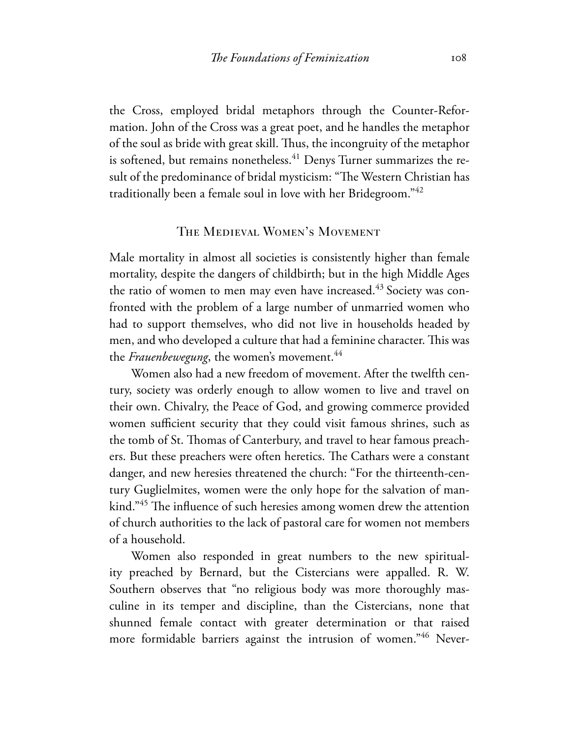the Cross, employed bridal metaphors through the Counter-Reformation. John of the Cross was a great poet, and he handles the metaphor of the soul as bride with great skill. Thus, the incongruity of the metaphor is softened, but remains nonetheless.<sup>41</sup> Denys Turner summarizes the result of the predominance of bridal mysticism: "The Western Christian has traditionally been a female soul in love with her Bridegroom."<sup>42</sup>

## The Medieval Women's Movement

Male mortality in almost all societies is consistently higher than female mortality, despite the dangers of childbirth; but in the high Middle Ages the ratio of women to men may even have increased.<sup>43</sup> Society was confronted with the problem of a large number of unmarried women who had to support themselves, who did not live in households headed by men, and who developed a culture that had a feminine character. This was the *Frauenbewegung*, the women's movement.<sup>44</sup>

Women also had a new freedom of movement. After the twelfth century, society was orderly enough to allow women to live and travel on their own. Chivalry, the Peace of God, and growing commerce provided women sufficient security that they could visit famous shrines, such as the tomb of St. Thomas of Canterbury, and travel to hear famous preachers. But these preachers were often heretics. The Cathars were a constant danger, and new heresies threatened the church: "For the thirteenth-century Guglielmites, women were the only hope for the salvation of mankind."45 The influence of such heresies among women drew the attention of church authorities to the lack of pastoral care for women not members of a household.

Women also responded in great numbers to the new spirituality preached by Bernard, but the Cistercians were appalled. R. W. Southern observes that "no religious body was more thoroughly masculine in its temper and discipline, than the Cistercians, none that shunned female contact with greater determination or that raised more formidable barriers against the intrusion of women."46 Never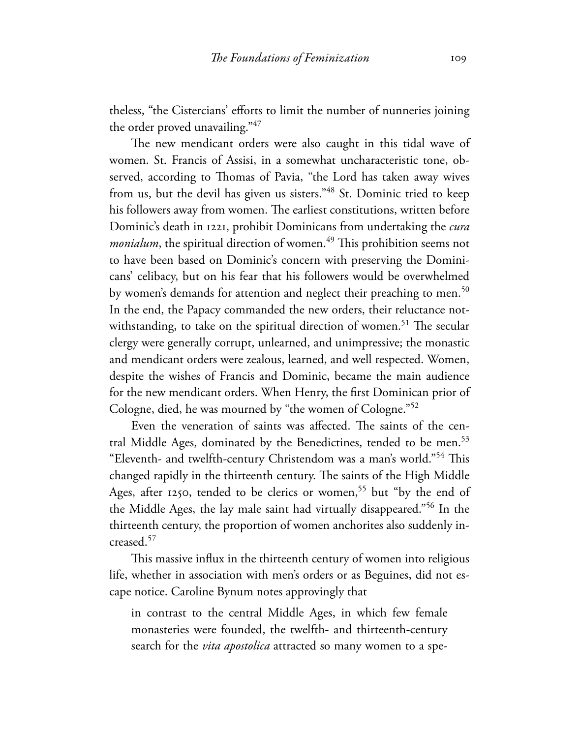theless, "the Cistercians' efforts to limit the number of nunneries joining the order proved unavailing."47

The new mendicant orders were also caught in this tidal wave of women. St. Francis of Assisi, in a somewhat uncharacteristic tone, observed, according to Thomas of Pavia, "the Lord has taken away wives from us, but the devil has given us sisters."48 St. Dominic tried to keep his followers away from women. The earliest constitutions, written before Dominic's death in 1221, prohibit Dominicans from undertaking the *cura monialum*, the spiritual direction of women.<sup>49</sup> This prohibition seems not to have been based on Dominic's concern with preserving the Dominicans' celibacy, but on his fear that his followers would be overwhelmed by women's demands for attention and neglect their preaching to men.<sup>50</sup> In the end, the Papacy commanded the new orders, their reluctance notwithstanding, to take on the spiritual direction of women.<sup>51</sup> The secular clergy were generally corrupt, unlearned, and unimpressive; the monastic and mendicant orders were zealous, learned, and well respected. Women, despite the wishes of Francis and Dominic, became the main audience for the new mendicant orders. When Henry, the first Dominican prior of Cologne, died, he was mourned by "the women of Cologne."<sup>52</sup>

Even the veneration of saints was affected. The saints of the central Middle Ages, dominated by the Benedictines, tended to be men.<sup>53</sup> "Eleventh- and twelfth-century Christendom was a man's world."54 This changed rapidly in the thirteenth century. The saints of the High Middle Ages, after 1250, tended to be clerics or women,<sup>55</sup> but "by the end of the Middle Ages, the lay male saint had virtually disappeared."56 In the thirteenth century, the proportion of women anchorites also suddenly increased.57

This massive influx in the thirteenth century of women into religious life, whether in association with men's orders or as Beguines, did not escape notice. Caroline Bynum notes approvingly that

 in contrast to the central Middle Ages, in which few female monasteries were founded, the twelfth- and thirteenth-century search for the *vita apostolica* attracted so many women to a spe-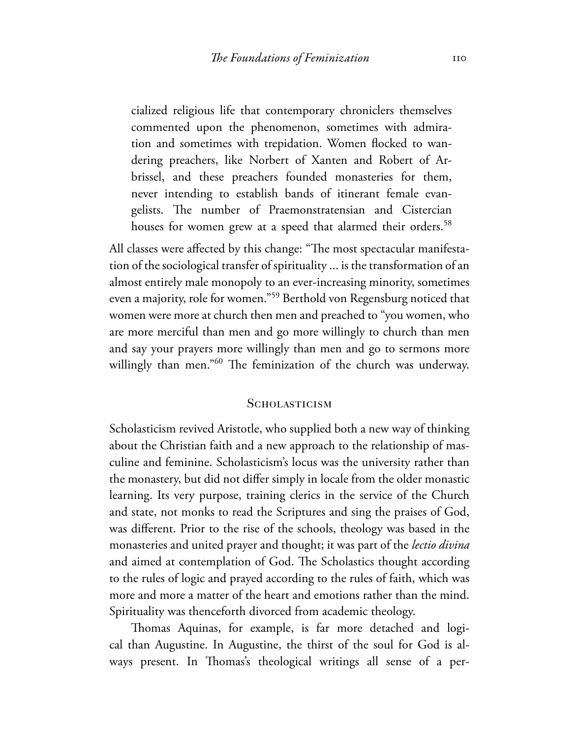cialized religious life that contemporary chroniclers themselves commented upon the phenomenon, sometimes with admiration and sometimes with trepidation. Women flocked to wandering preachers, like Norbert of Xanten and Robert of Arbrissel, and these preachers founded monasteries for them, never intending to establish bands of itinerant female evangelists. The number of Praemonstratensian and Cistercian houses for women grew at a speed that alarmed their orders.<sup>58</sup>

All classes were affected by this change: "The most spectacular manifestation of the sociological transfer of spirituality ... is the transformation of an almost entirely male monopoly to an ever-increasing minority, sometimes even a majority, role for women."59 Berthold von Regensburg noticed that women were more at church then men and preached to "you women, who are more merciful than men and go more willingly to church than men and say your prayers more willingly than men and go to sermons more willingly than men."60 The feminization of the church was underway.

#### **SCHOLASTICISM**

Scholasticism revived Aristotle, who supplied both a new way of thinking about the Christian faith and a new approach to the relationship of masculine and feminine. Scholasticism's locus was the university rather than the monastery, but did not differ simply in locale from the older monastic learning. Its very purpose, training clerics in the service of the Church and state, not monks to read the Scriptures and sing the praises of God, was different. Prior to the rise of the schools, theology was based in the monasteries and united prayer and thought; it was part of the *lectio divina*  and aimed at contemplation of God. The Scholastics thought according to the rules of logic and prayed according to the rules of faith, which was more and more a matter of the heart and emotions rather than the mind. Spirituality was thenceforth divorced from academic theology.

Thomas Aquinas, for example, is far more detached and logical than Augustine. In Augustine, the thirst of the soul for God is always present. In Thomas's theological writings all sense of a per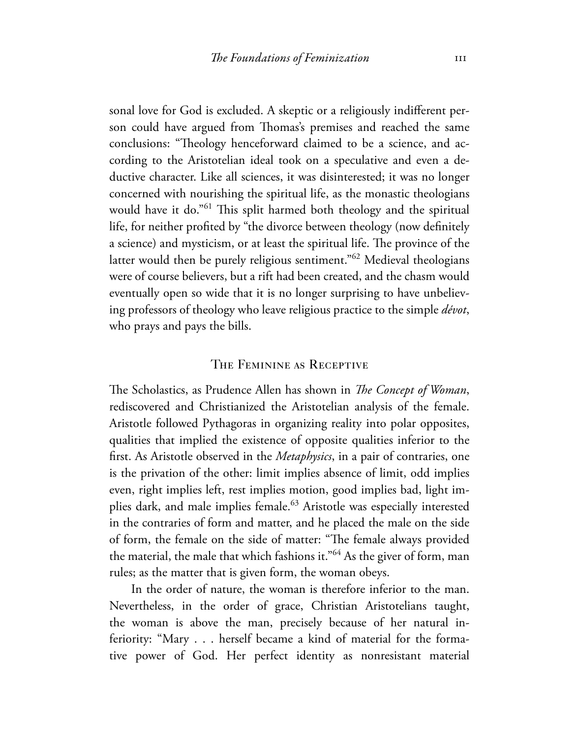sonal love for God is excluded. A skeptic or a religiously indifferent person could have argued from Thomas's premises and reached the same conclusions: "Theology henceforward claimed to be a science, and according to the Aristotelian ideal took on a speculative and even a deductive character. Like all sciences, it was disinterested; it was no longer concerned with nourishing the spiritual life, as the monastic theologians would have it do."<sup>61</sup> This split harmed both theology and the spiritual life, for neither profited by "the divorce between theology (now definitely a science) and mysticism, or at least the spiritual life. The province of the latter would then be purely religious sentiment."<sup>62</sup> Medieval theologians were of course believers, but a rift had been created, and the chasm would eventually open so wide that it is no longer surprising to have unbelieving professors of theology who leave religious practice to the simple *dévot*, who prays and pays the bills.

## The Feminine as Receptive

The Scholastics, as Prudence Allen has shown in *The Concept of Woman*, rediscovered and Christianized the Aristotelian analysis of the female. Aristotle followed Pythagoras in organizing reality into polar opposites, qualities that implied the existence of opposite qualities inferior to the first. As Aristotle observed in the *Metaphysics*, in a pair of contraries, one is the privation of the other: limit implies absence of limit, odd implies even, right implies left, rest implies motion, good implies bad, light implies dark, and male implies female.<sup>63</sup> Aristotle was especially interested in the contraries of form and matter, and he placed the male on the side of form, the female on the side of matter: "The female always provided the material, the male that which fashions it."64 As the giver of form, man rules; as the matter that is given form, the woman obeys.

In the order of nature, the woman is therefore inferior to the man. Nevertheless, in the order of grace, Christian Aristotelians taught, the woman is above the man, precisely because of her natural inferiority: "Mary . . . herself became a kind of material for the formative power of God. Her perfect identity as nonresistant material